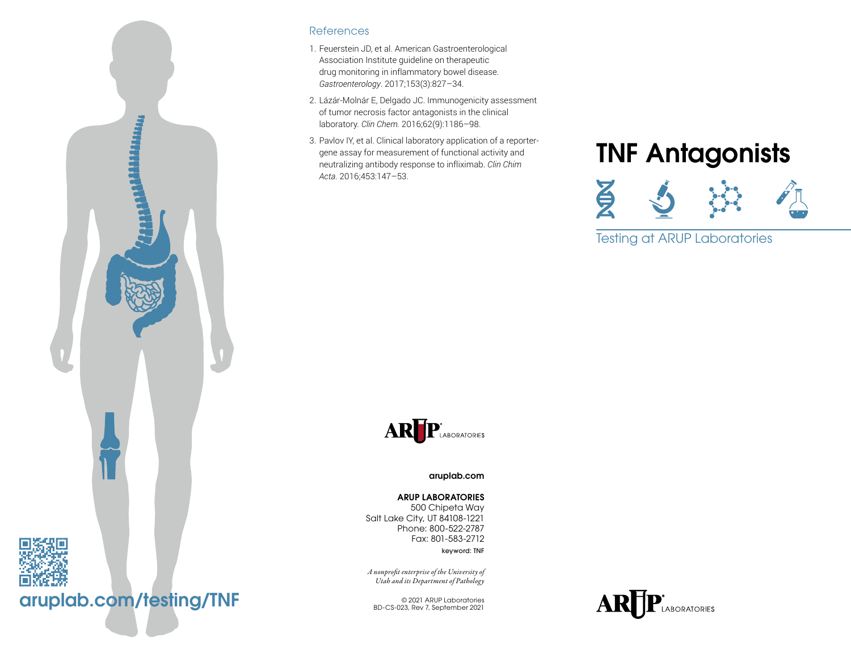

#### References

- 1. Feuerstein JD, et al. American Gastroenterological Association Institute guideline on therapeutic drug monitoring in inflammatory bowel disease. *Gastroenterology*. 2017;153(3):827–34.
- 2. Lázár-Molnár E, Delgado JC. Immunogenicity assessment of tumor necrosis factor antagonists in the clinical laboratory. *Clin Chem.* 2016;62(9):1186–98.
- 3. Pavlov IY, et al. Clinical laboratory application of a reportergene assay for measurement of functional activity and neutralizing antibody response to infliximab. *Clin Chim Acta*. 2016;453:147–53.

# TNF Antagonists



Testing at ARUP Laboratories



[aruplab.com](http://www.aruplab.com )

#### ARUP LABORATORIES

500 Chipeta Way Salt Lake City, UT 84108-1221 Phone: 800-522-2787 Fax: 801-583-2712

keyword: TNF

*A nonprofit enterprise of the University of Utah and its Department of Pathology*